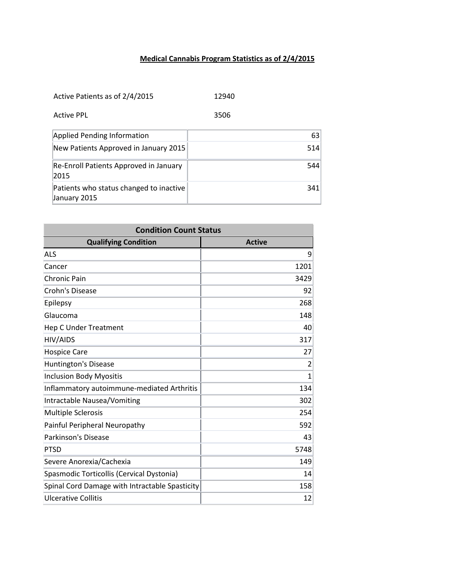## **Medical Cannabis Program Statistics as of 2/4/2015**

| Active Patients as of 2/4/2015 | 12940 |
|--------------------------------|-------|
|--------------------------------|-------|

Active PPL 3506

| Applied Pending Information                             | 63  |
|---------------------------------------------------------|-----|
| New Patients Approved in January 2015                   | 514 |
| Re-Enroll Patients Approved in January<br>2015          | 544 |
| Patients who status changed to inactive<br>January 2015 | 341 |

| <b>Condition Count Status</b>                  |               |
|------------------------------------------------|---------------|
| <b>Qualifying Condition</b>                    | <b>Active</b> |
| <b>ALS</b>                                     | 9             |
| Cancer                                         | 1201          |
| <b>Chronic Pain</b>                            | 3429          |
| Crohn's Disease                                | 92            |
| Epilepsy                                       | 268           |
| Glaucoma                                       | 148           |
| <b>Hep C Under Treatment</b>                   | 40            |
| <b>HIV/AIDS</b>                                | 317           |
| <b>Hospice Care</b>                            | 27            |
| Huntington's Disease                           | 2             |
| <b>Inclusion Body Myositis</b>                 | $\mathbf{1}$  |
| Inflammatory autoimmune-mediated Arthritis     | 134           |
| Intractable Nausea/Vomiting                    | 302           |
| <b>Multiple Sclerosis</b>                      | 254           |
| Painful Peripheral Neuropathy                  | 592           |
| Parkinson's Disease                            | 43            |
| <b>PTSD</b>                                    | 5748          |
| Severe Anorexia/Cachexia                       | 149           |
| Spasmodic Torticollis (Cervical Dystonia)      | 14            |
| Spinal Cord Damage with Intractable Spasticity | 158           |
| <b>Ulcerative Collitis</b>                     | 12            |